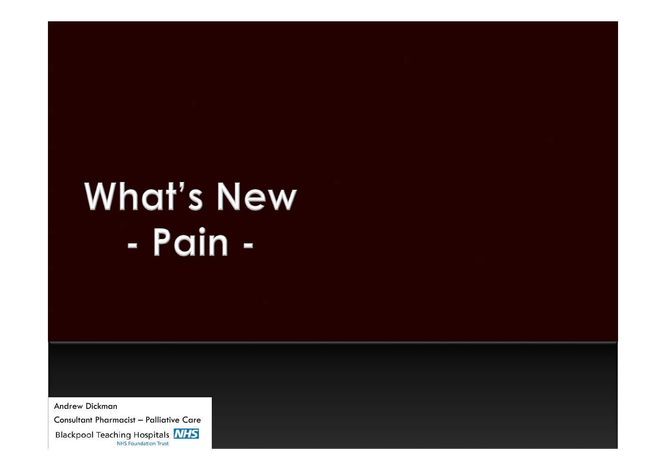# **What's New** - Pain -

Andrew Dickman Consultant Pharmacist – Palliative Care**Blackpool Teaching Hospitals NHS NHS Foundation Trust**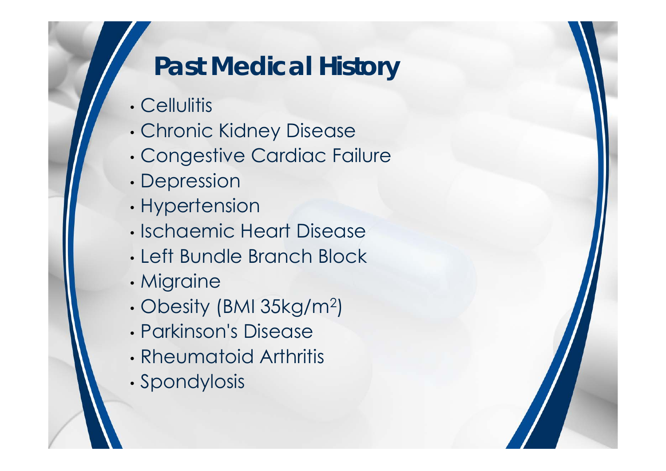### **Past Medical History**

- Cellulitis
- •Chronic Kidney Disease
- •Congestive Cardiac Failure
- •Depression
- •Hypertension
- Ischaemic Heart Disease
- Left Bundle Branch Block
- •Migraine
- •Obesity (BMI 35kg/m2)
- Parkinson's Disease
- Rheumatoid Arthritis
- •Spondylosis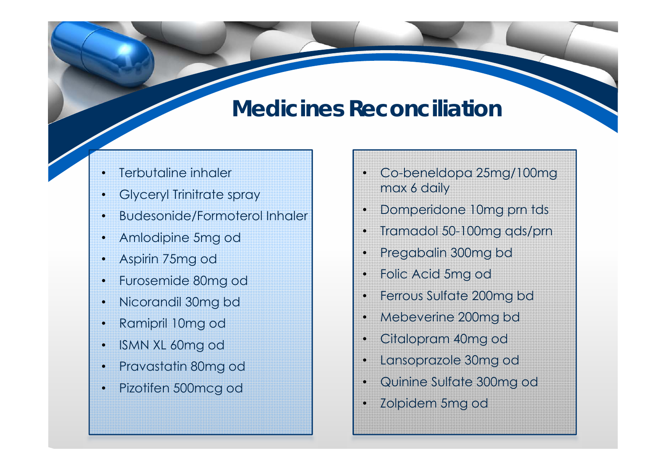### **Medicines Reconciliation**

- •Terbutaline inhaler
- •Glyceryl Trinitrate spray
- •Budesonide/Formoterol Inhaler
- •Amlodipine 5mg od
- •Aspirin 75mg od
- •Furosemide 80mg od
- •Nicorandil 30mg bd
- •Ramipril 10mg od
- •ISMN XL 60mg od
- •Pravastatin 80mg od
- •Pizotifen 500mcg od
- • Co-beneldopa 25mg/100mg max 6 daily
- •Domperidone 10mg prn tds
- •Tramadol 50-100mg qds/prn
- •Pregabalin 300mg bd
- •Folic Acid 5mg od
- •Ferrous Sulfate 200mg bd
- •Mebeverine 200mg bd
- •Citalopram 40mg od
- •Lansoprazole 30mg od
- •Quinine Sulfate 300mg od
- •Zolpidem 5mg od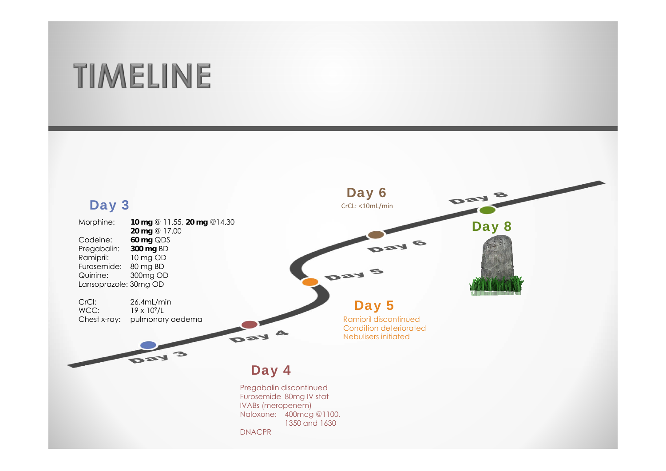# **TIMELINE**

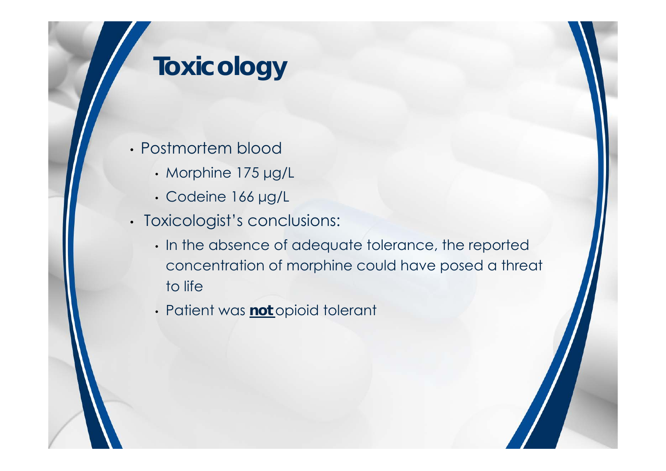- Postmortem blood
	- Morphine 175 μg/L
	- Codeine 166 μg/L
- Toxicologist's conclusions:
	- In the absence of adequate tolerance, the reported concentration of morphine could have posed a threat to life
	- Patient was **not** opioid tolerant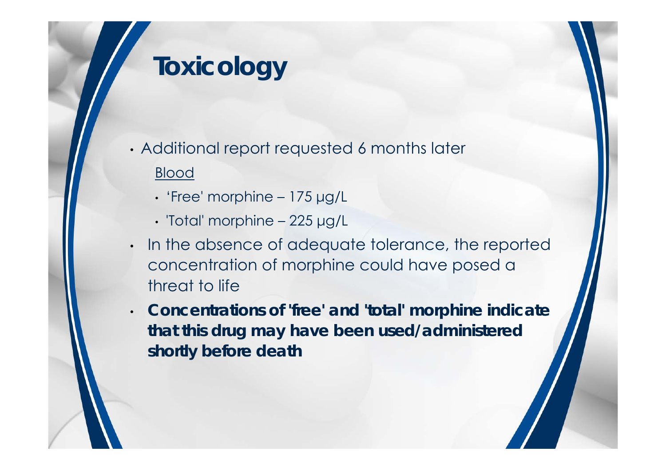- Additional report requested 6 months later Blood
	- 'Free' morphine 175 μg/L
	- 'Total' morphine 225 μg/L
- • In the absence of adequate tolerance, the reported concentration of morphine could have posed a threat to life
- • **Concentrations of 'free' and 'total' morphine indicate that this drug may have been used/administered shortly before death**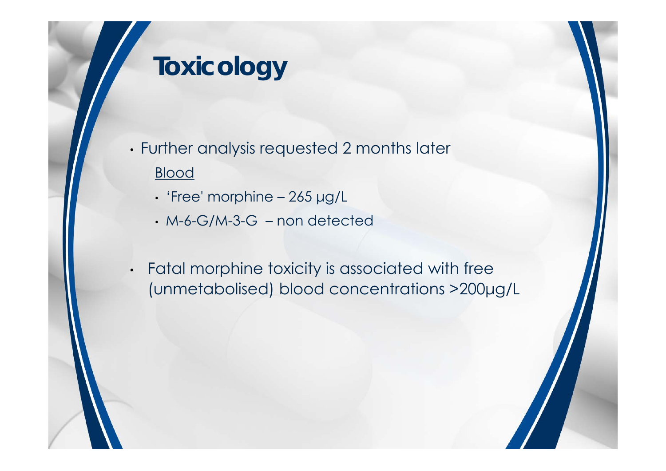- Further analysis requested 2 months later Blood
	- 'Free' morphine 265 μg/L
	- M-6-G/M-3-G non detected
- Fatal morphine toxicity is associated with free (unmetabolised) blood concentrations >200μg/L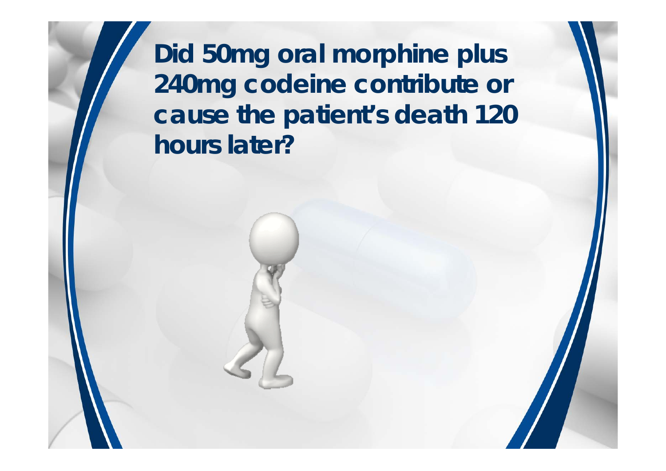**Did 50mg oral morphine plus 240mg codeine contribute or cause the patient's death 120 hours later?**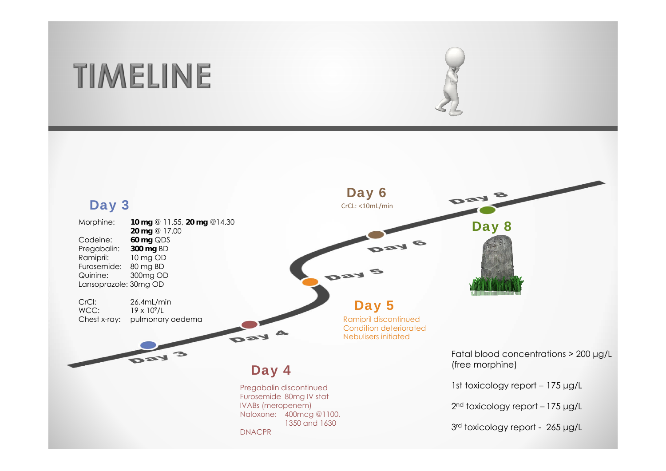### **TIMELINE**

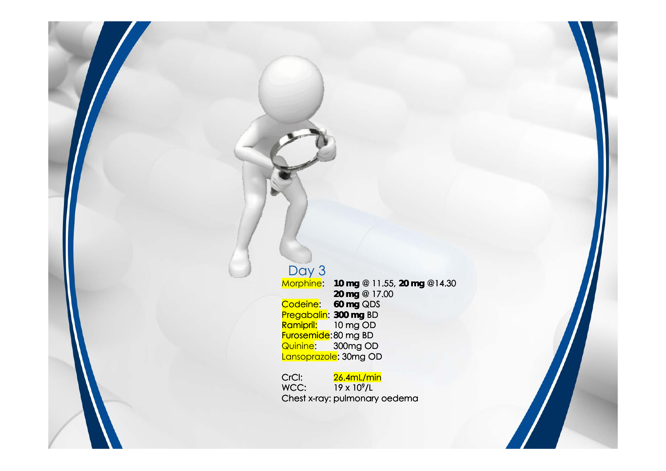#### Day 3<br><del>Morphine</del>: Morphine: **10 mg** @ 11.55, **20 mg** @14.30 **20 mg** @ 17.00 Codeine: **60 mg** QDS Pregabalin: **300 mg** BD Ramipril: 10 mg OD Furosemide: 80 mg BD Quinine: 300mg OD Lansoprazole: 30mg OD

CrCl: 26.4mL/min<br>WCC: 19 x 10<sup>9</sup>/L  $19 \times 10^9$ /L Chest x-ray: pulmonary oedema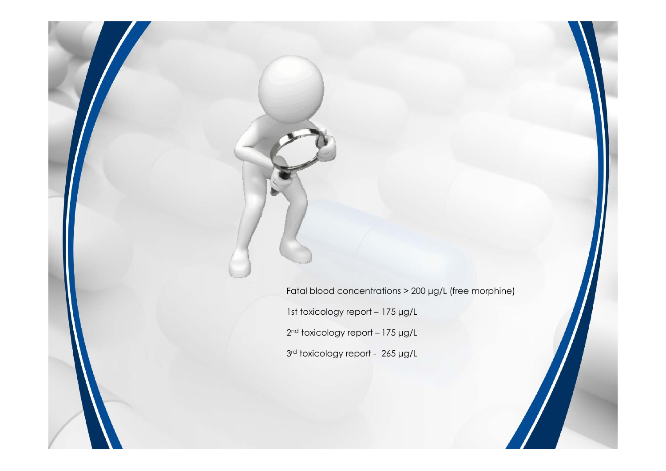Fatal blood concentrations > 200 μg/L (free morphine) 1st toxicology report – 175 μg/L 2<sup>nd</sup> toxicology report – 175 µg/L 3<sup>rd</sup> toxicology report - 265 µg/L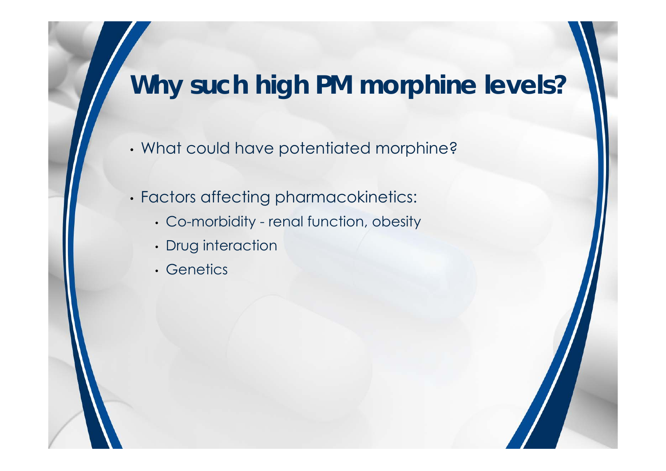### **Why such high PM morphine levels?**

- What could have potentiated morphine?
- Factors affecting pharmacokinetics:
	- Co-morbidity renal function, obesity
	- Drug interaction
	- Genetics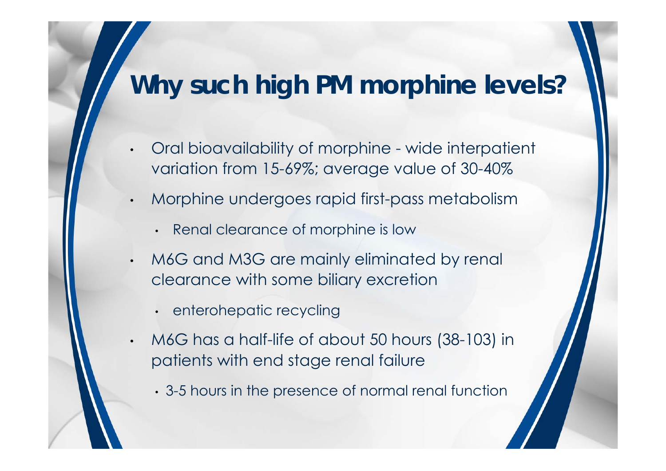### **Why such high PM morphine levels?**

- • Oral bioavailability of morphine - wide interpatient variation from 15-69%; average value of 30-40%
- • Morphine undergoes rapid first-pass metabolism
	- Renal clearance of morphine is low
- • M6G and M3G are mainly eliminated by renal clearance with some biliary excretion
	- enterohepatic recycling
- • M6G has a half-life of about 50 hours (38-103) in patients with end stage renal failure
	- 3-5 hours in the presence of normal renal function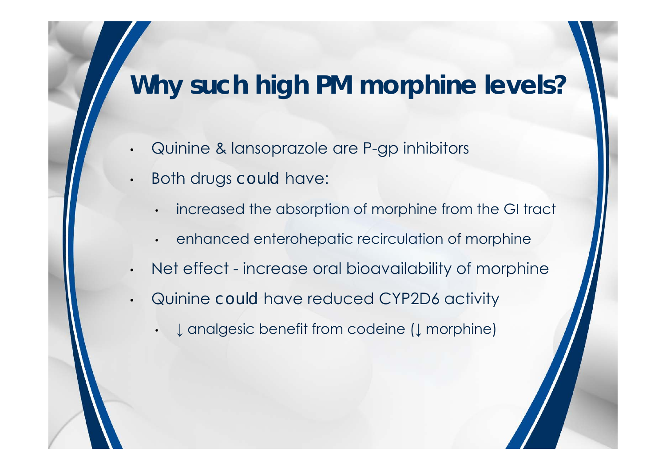### **Why such high PM morphine levels?**

- •Quinine & lansoprazole are P-gp inhibitors
- Both drugs *could* have:

•

•

•

- •increased the absorption of morphine from the GI tract
- enhanced enterohepatic recirculation of morphine
- •Net effect - increase oral bioavailability of morphine
- • Quinine *could* have reduced CYP2D6 activity
	- ↓ analgesic benefit from codeine (↓ morphine)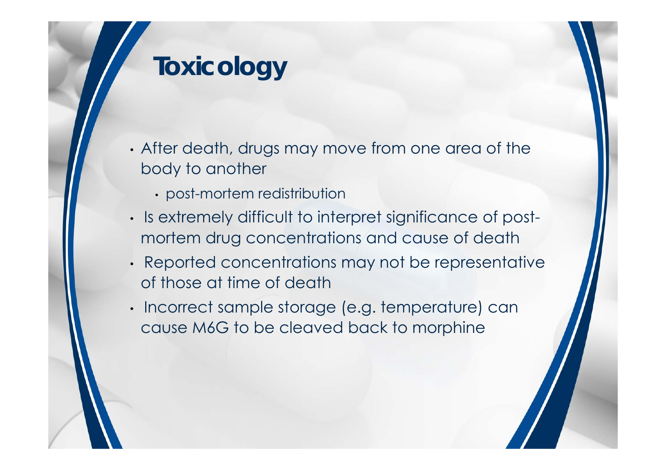- After death, drugs may move from one area of the body to another
	- post-mortem redistribution
- Is extremely difficult to interpret significance of postmortem drug concentrations and cause of death
- Reported concentrations may not be representative of those at time of death
- Incorrect sample storage (e.g. temperature) can cause M6G to be cleaved back to morphine